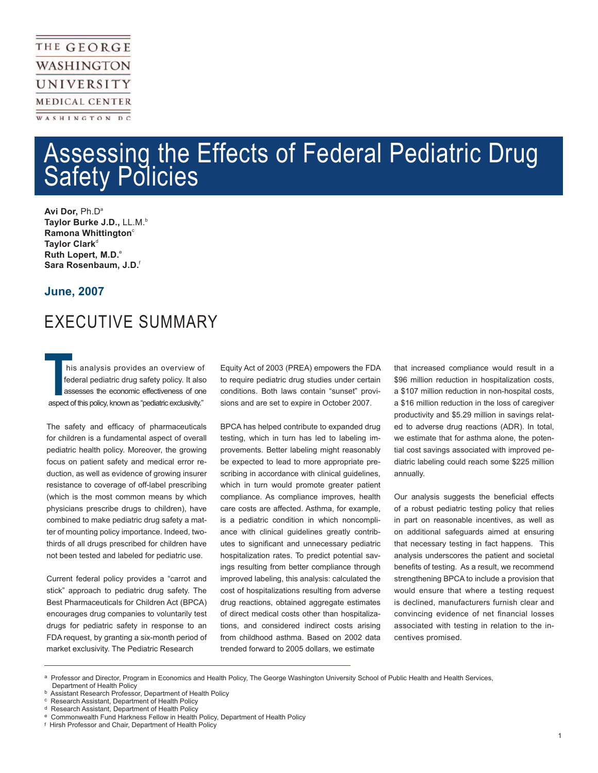### THE GEORGE WASHINGTON UNIVERSITY **MEDICAL CENTER** WASHINGTON DC

# Assessing the Effects of Federal Pediatric Drug **Safety Policies**

Avi Dor, Ph.D<sup>a</sup> **Taylor Burke J.D.,** LL.M.b **Ramona Whittington**<sup>c</sup> Taylor Clark<sup>d</sup> **Ruth Lopert, M.D.**<sup>e</sup> **Sara Rosenbaum, J.D.**<sup>f</sup>

#### **June, 2007**

Ī

# EXECUTIVE SUMMARY

 his analysis provides an overview of federal pediatric drug safety policy. It also assesses the economic effectiveness of one his analysis provides an overview of<br>federal pediatric drug safety policy. It also<br>assesses the economic effectiveness of one<br>aspect of this policy, known as "pediatric exclusivity."

The safety and efficacy of pharmaceuticals for children is a fundamental aspect of overall pediatric health policy. Moreover, the growing focus on patient safety and medical error reduction, as well as evidence of growing insurer resistance to coverage of off-label prescribing (which is the most common means by which physicians prescribe drugs to children), have combined to make pediatric drug safety a matter of mounting policy importance. Indeed, twothirds of all drugs prescribed for children have not been tested and labeled for pediatric use.

Current federal policy provides a "carrot and stick" approach to pediatric drug safety. The Best Pharmaceuticals for Children Act (BPCA) encourages drug companies to voluntarily test drugs for pediatric safety in response to an FDA request, by granting a six-month period of market exclusivity. The Pediatric Research

Equity Act of 2003 (PREA) empowers the FDA to require pediatric drug studies under certain conditions. Both laws contain "sunset" provisions and are set to expire in October 2007.

BPCA has helped contribute to expanded drug testing, which in turn has led to labeling improvements. Better labeling might reasonably be expected to lead to more appropriate prescribing in accordance with clinical guidelines, which in turn would promote greater patient compliance. As compliance improves, health care costs are affected. Asthma, for example, is a pediatric condition in which noncompliance with clinical guidelines greatly contributes to significant and unnecessary pediatric hospitalization rates. To predict potential savings resulting from better compliance through improved labeling, this analysis: calculated the cost of hospitalizations resulting from adverse drug reactions, obtained aggregate estimates of direct medical costs other than hospitalizations, and considered indirect costs arising from childhood asthma. Based on 2002 data trended forward to 2005 dollars, we estimate

that increased compliance would result in a \$96 million reduction in hospitalization costs, a \$107 million reduction in non-hospital costs, a \$16 million reduction in the loss of caregiver productivity and \$5.29 million in savings related to adverse drug reactions (ADR). In total, we estimate that for asthma alone, the potential cost savings associated with improved pediatric labeling could reach some \$225 million annually.

Our analysis suggests the beneficial effects of a robust pediatric testing policy that relies in part on reasonable incentives, as well as on additional safeguards aimed at ensuring that necessary testing in fact happens. This analysis underscores the patient and societal benefits of testing. As a result, we recommend strengthening BPCA to include a provision that would ensure that where a testing request is declined, manufacturers furnish clear and convincing evidence of net financial losses associated with testing in relation to the incentives promised.

Professor and Director, Program in Economics and Health Policy, The George Washington University School of Public Health and Health Services,

Department of Health Policy

Assistant Research Professor, Department of Health Policy

<sup>&</sup>lt;sup>c</sup> Research Assistant, Department of Health Policy<br><sup>d</sup> Research Assistant, Department of Health Policy

Research Assistant, Department of Health Policy

e Commonwealth Fund Harkness Fellow in Health Policy, Department of Health Policy

f Hirsh Professor and Chair, Department of Health Policy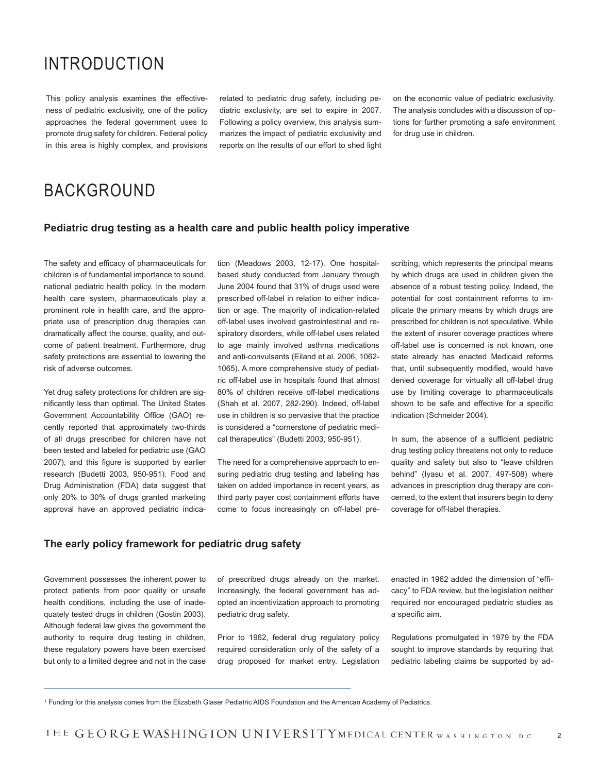### INTRODUCTION

This policy analysis examines the effectiveness of pediatric exclusivity, one of the policy approaches the federal government uses to promote drug safety for children. Federal policy in this area is highly complex, and provisions

related to pediatric drug safety, including pediatric exclusivity, are set to expire in 2007. Following a policy overview, this analysis summarizes the impact of pediatric exclusivity and reports on the results of our effort to shed light on the economic value of pediatric exclusivity. The analysis concludes with a discussion of options for further promoting a safe environment for drug use in children.

## BACKGROUND

#### **Pediatric drug testing as a health care and public health policy imperative**

The safety and efficacy of pharmaceuticals for children is of fundamental importance to sound, national pediatric health policy. In the modern health care system, pharmaceuticals play a prominent role in health care, and the appropriate use of prescription drug therapies can dramatically affect the course, quality, and outcome of patient treatment. Furthermore, drug safety protections are essential to lowering the risk of adverse outcomes.

Yet drug safety protections for children are significantly less than optimal. The United States Government Accountability Office (GAO) recently reported that approximately two-thirds of all drugs prescribed for children have not been tested and labeled for pediatric use (GAO 2007), and this figure is supported by earlier research (Budetti 2003, 950-951). Food and Drug Administration (FDA) data suggest that only 20% to 30% of drugs granted marketing approval have an approved pediatric indication (Meadows 2003, 12-17). One hospitalbased study conducted from January through June 2004 found that 31% of drugs used were prescribed off-label in relation to either indication or age. The majority of indication-related off-label uses involved gastrointestinal and respiratory disorders, while off-label uses related to age mainly involved asthma medications and anti-convulsants (Eiland et al. 2006, 1062- 1065). A more comprehensive study of pediatric off-label use in hospitals found that almost 80% of children receive off-label medications (Shah et al. 2007, 282-290). Indeed, off-label use in children is so pervasive that the practice is considered a "cornerstone of pediatric medical therapeutics" (Budetti 2003, 950-951).

The need for a comprehensive approach to ensuring pediatric drug testing and labeling has taken on added importance in recent years, as third party payer cost containment efforts have come to focus increasingly on off-label prescribing, which represents the principal means by which drugs are used in children given the absence of a robust testing policy. Indeed, the potential for cost containment reforms to implicate the primary means by which drugs are prescribed for children is not speculative. While the extent of insurer coverage practices where off-label use is concerned is not known, one state already has enacted Medicaid reforms that, until subsequently modified, would have denied coverage for virtually all off-label drug use by limiting coverage to pharmaceuticals shown to be safe and effective for a specific indication (Schneider 2004).

In sum, the absence of a sufficient pediatric drug testing policy threatens not only to reduce quality and safety but also to "leave children behind" (Iyasu et al. 2007, 497-508) where advances in prescription drug therapy are concerned, to the extent that insurers begin to deny coverage for off-label therapies.

#### **The early policy framework for pediatric drug safety**

Government possesses the inherent power to protect patients from poor quality or unsafe health conditions, including the use of inadequately tested drugs in children (Gostin 2003). Although federal law gives the government the authority to require drug testing in children, these regulatory powers have been exercised but only to a limited degree and not in the case

of prescribed drugs already on the market. Increasingly, the federal government has adopted an incentivization approach to promoting pediatric drug safety.

Prior to 1962, federal drug regulatory policy required consideration only of the safety of a drug proposed for market entry. Legislation enacted in 1962 added the dimension of "efficacy" to FDA review, but the legislation neither required nor encouraged pediatric studies as a specific aim.

Regulations promulgated in 1979 by the FDA sought to improve standards by requiring that pediatric labeling claims be supported by ad-

<sup>1</sup> Funding for this analysis comes from the Elizabeth Glaser Pediatric AIDS Foundation and the American Academy of Pediatrics.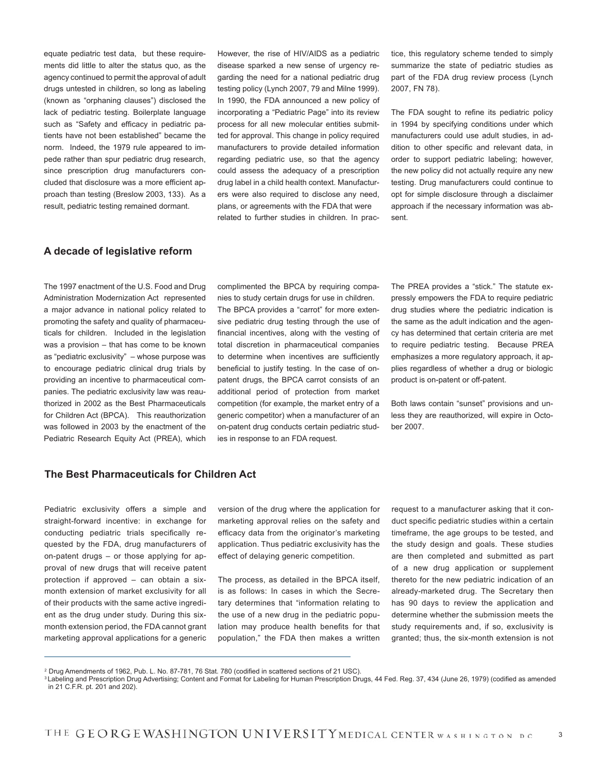equate pediatric test data, but these requirements did little to alter the status quo, as the agency continued to permit the approval of adult drugs untested in children, so long as labeling (known as "orphaning clauses") disclosed the lack of pediatric testing. Boilerplate language such as "Safety and efficacy in pediatric patients have not been established" became the norm. Indeed, the 1979 rule appeared to impede rather than spur pediatric drug research, since prescription drug manufacturers concluded that disclosure was a more efficient approach than testing (Breslow 2003, 133). As a result, pediatric testing remained dormant.

However, the rise of HIV/AIDS as a pediatric disease sparked a new sense of urgency regarding the need for a national pediatric drug testing policy (Lynch 2007, 79 and Milne 1999). In 1990, the FDA announced a new policy of incorporating a "Pediatric Page" into its review process for all new molecular entities submitted for approval. This change in policy required manufacturers to provide detailed information regarding pediatric use, so that the agency could assess the adequacy of a prescription drug label in a child health context. Manufacturers were also required to disclose any need, plans, or agreements with the FDA that were related to further studies in children. In practice, this regulatory scheme tended to simply summarize the state of pediatric studies as part of the FDA drug review process (Lynch 2007, FN 78).

The FDA sought to refine its pediatric policy in 1994 by specifying conditions under which manufacturers could use adult studies, in addition to other specific and relevant data, in order to support pediatric labeling; however, the new policy did not actually require any new testing. Drug manufacturers could continue to opt for simple disclosure through a disclaimer approach if the necessary information was absent.

#### **A decade of legislative reform**

The 1997 enactment of the U.S. Food and Drug Administration Modernization Act represented a major advance in national policy related to promoting the safety and quality of pharmaceuticals for children. Included in the legislation was a provision – that has come to be known as "pediatric exclusivity" – whose purpose was to encourage pediatric clinical drug trials by providing an incentive to pharmaceutical companies. The pediatric exclusivity law was reauthorized in 2002 as the Best Pharmaceuticals for Children Act (BPCA). This reauthorization was followed in 2003 by the enactment of the Pediatric Research Equity Act (PREA), which complimented the BPCA by requiring companies to study certain drugs for use in children. The BPCA provides a "carrot" for more extensive pediatric drug testing through the use of financial incentives, along with the vesting of total discretion in pharmaceutical companies to determine when incentives are sufficiently beneficial to justify testing. In the case of onpatent drugs, the BPCA carrot consists of an additional period of protection from market competition (for example, the market entry of a generic competitor) when a manufacturer of an on-patent drug conducts certain pediatric studies in response to an FDA request.

The PREA provides a "stick." The statute expressly empowers the FDA to require pediatric drug studies where the pediatric indication is the same as the adult indication and the agency has determined that certain criteria are met to require pediatric testing. Because PREA emphasizes a more regulatory approach, it applies regardless of whether a drug or biologic product is on-patent or off-patent.

Both laws contain "sunset" provisions and unless they are reauthorized, will expire in October 2007.

#### **The Best Pharmaceuticals for Children Act**

Pediatric exclusivity offers a simple and straight-forward incentive: in exchange for conducting pediatric trials specifically requested by the FDA, drug manufacturers of on-patent drugs – or those applying for approval of new drugs that will receive patent protection if approved – can obtain a sixmonth extension of market exclusivity for all of their products with the same active ingredient as the drug under study. During this sixmonth extension period, the FDA cannot grant marketing approval applications for a generic version of the drug where the application for marketing approval relies on the safety and efficacy data from the originator's marketing application. Thus pediatric exclusivity has the effect of delaying generic competition.

The process, as detailed in the BPCA itself, is as follows: In cases in which the Secretary determines that "information relating to the use of a new drug in the pediatric population may produce health benefits for that population," the FDA then makes a written

request to a manufacturer asking that it conduct specific pediatric studies within a certain timeframe, the age groups to be tested, and the study design and goals. These studies are then completed and submitted as part of a new drug application or supplement thereto for the new pediatric indication of an already-marketed drug. The Secretary then has 90 days to review the application and determine whether the submission meets the study requirements and, if so, exclusivity is granted; thus, the six-month extension is not

<sup>2</sup>Drug Amendments of 1962, Pub. L. No. 87-781, 76 Stat. 780 (codified in scattered sections of 21 USC).

<sup>&</sup>lt;sup>3</sup> Labeling and Prescription Drug Advertising; Content and Format for Labeling for Human Prescription Drugs, 44 Fed. Reg. 37, 434 (June 26, 1979) (codified as amended in 21 C.F.R. pt. 201 and 202).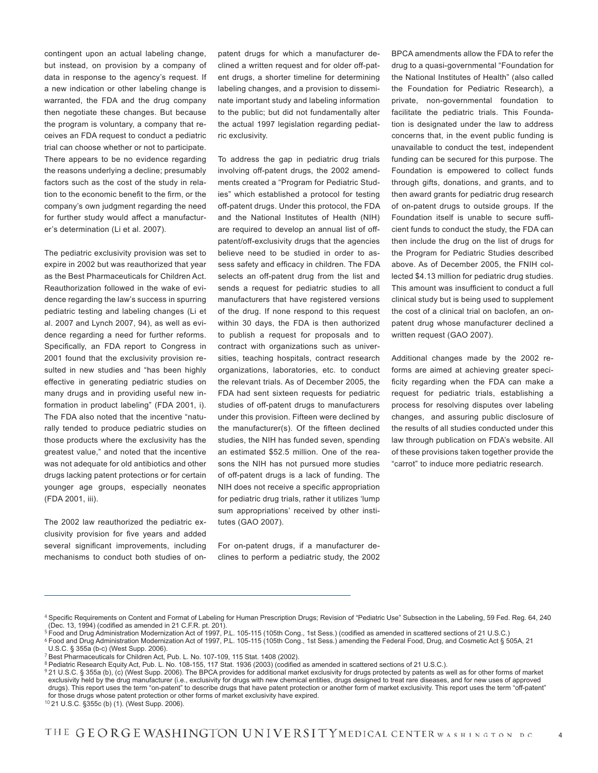contingent upon an actual labeling change, but instead, on provision by a company of data in response to the agency's request. If a new indication or other labeling change is warranted, the FDA and the drug company then negotiate these changes. But because the program is voluntary, a company that receives an FDA request to conduct a pediatric trial can choose whether or not to participate. There appears to be no evidence regarding the reasons underlying a decline; presumably factors such as the cost of the study in relation to the economic benefit to the firm, or the company's own judgment regarding the need for further study would affect a manufacturer's determination (Li et al. 2007).

The pediatric exclusivity provision was set to expire in 2002 but was reauthorized that year as the Best Pharmaceuticals for Children Act. Reauthorization followed in the wake of evidence regarding the law's success in spurring pediatric testing and labeling changes (Li et al. 2007 and Lynch 2007, 94), as well as evidence regarding a need for further reforms. Specifically, an FDA report to Congress in 2001 found that the exclusivity provision resulted in new studies and "has been highly effective in generating pediatric studies on many drugs and in providing useful new information in product labeling" (FDA 2001, i). The FDA also noted that the incentive "naturally tended to produce pediatric studies on those products where the exclusivity has the greatest value," and noted that the incentive was not adequate for old antibiotics and other drugs lacking patent protections or for certain younger age groups, especially neonates (FDA 2001, iii).

The 2002 law reauthorized the pediatric exclusivity provision for five years and added several significant improvements, including mechanisms to conduct both studies of onpatent drugs for which a manufacturer declined a written request and for older off-patent drugs, a shorter timeline for determining labeling changes, and a provision to disseminate important study and labeling information to the public; but did not fundamentally alter the actual 1997 legislation regarding pediatric exclusivity.

To address the gap in pediatric drug trials involving off-patent drugs, the 2002 amendments created a "Program for Pediatric Studies" which established a protocol for testing off-patent drugs. Under this protocol, the FDA and the National Institutes of Health (NIH) are required to develop an annual list of offpatent/off-exclusivity drugs that the agencies believe need to be studied in order to assess safety and efficacy in children. The FDA selects an off-patent drug from the list and sends a request for pediatric studies to all manufacturers that have registered versions of the drug. If none respond to this request within 30 days, the FDA is then authorized to publish a request for proposals and to contract with organizations such as universities, teaching hospitals, contract research organizations, laboratories, etc. to conduct the relevant trials. As of December 2005, the FDA had sent sixteen requests for pediatric studies of off-patent drugs to manufacturers under this provision. Fifteen were declined by the manufacturer(s). Of the fifteen declined studies, the NIH has funded seven, spending an estimated \$52.5 million. One of the reasons the NIH has not pursued more studies of off-patent drugs is a lack of funding. The NIH does not receive a specific appropriation for pediatric drug trials, rather it utilizes 'lump sum appropriations' received by other institutes (GAO 2007).

For on-patent drugs, if a manufacturer declines to perform a pediatric study, the 2002 BPCA amendments allow the FDA to refer the drug to a quasi-governmental "Foundation for the National Institutes of Health" (also called the Foundation for Pediatric Research), a private, non-governmental foundation to facilitate the pediatric trials. This Foundation is designated under the law to address concerns that, in the event public funding is unavailable to conduct the test, independent funding can be secured for this purpose. The Foundation is empowered to collect funds through gifts, donations, and grants, and to then award grants for pediatric drug research of on-patent drugs to outside groups. If the Foundation itself is unable to secure sufficient funds to conduct the study, the FDA can then include the drug on the list of drugs for the Program for Pediatric Studies described above. As of December 2005, the FNIH collected \$4.13 million for pediatric drug studies. This amount was insufficient to conduct a full clinical study but is being used to supplement the cost of a clinical trial on baclofen, an onpatent drug whose manufacturer declined a written request (GAO 2007).

Additional changes made by the 2002 reforms are aimed at achieving greater specificity regarding when the FDA can make a request for pediatric trials, establishing a process for resolving disputes over labeling changes, and assuring public disclosure of the results of all studies conducted under this law through publication on FDA's website. All of these provisions taken together provide the "carrot" to induce more pediatric research.

<sup>4</sup> Specific Requirements on Content and Format of Labeling for Human Prescription Drugs; Revision of "Pediatric Use" Subsection in the Labeling, 59 Fed. Reg. 64, 240 (Dec. 13, 1994) (codified as amended in 21 C.F.R. pt. 201).

<sup>5</sup> Food and Drug Administration Modernization Act of 1997, P.L. 105-115 (105th Cong., 1st Sess.) (codified as amended in scattered sections of 21 U.S.C.)

<sup>6</sup> Food and Drug Administration Modernization Act of 1997, P.L. 105-115 (105th Cong., 1st Sess.) amending the Federal Food, Drug, and Cosmetic Act § 505A, 21

U.S.C. § 355a (b-c) (West Supp. 2006).

<sup>7</sup> Best Pharmaceuticals for Children Act, Pub. L. No. 107-109, 115 Stat. 1408 (2002).

<sup>8</sup> Pediatric Research Equity Act, Pub. L. No. 108-155, 117 Stat. 1936 (2003) (codified as amended in scattered sections of 21 U.S.C.).

<sup>921</sup> U.S.C. § 355a (b), (c) (West Supp. 2006). The BPCA provides for additional market exclusivity for drugs protected by patents as well as for other forms of market exclusivity held by the drug manufacturer (i.e., exclusivity for drugs with new chemical entities, drugs designed to treat rare diseases, and for new uses of approved drugs). This report uses the term "on-patent" to describe drugs that have patent protection or another form of market exclusivity. This report uses the term "off-patent" for those drugs whose patent protection or other forms of market exclusivity have expired.

<sup>10</sup> 21 U.S.C. §355c (b) (1). (West Supp. 2006).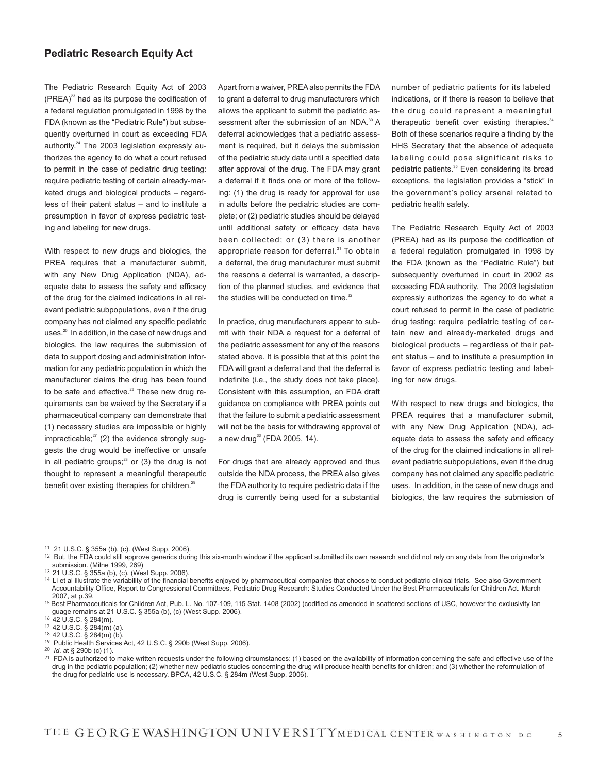#### **Pediatric Research Equity Act**

The Pediatric Research Equity Act of 2003  $(PREA)^{23}$  had as its purpose the codification of a federal regulation promulgated in 1998 by the FDA (known as the "Pediatric Rule") but subsequently overturned in court as exceeding FDA authority.<sup>24</sup> The 2003 legislation expressly authorizes the agency to do what a court refused to permit in the case of pediatric drug testing: require pediatric testing of certain already-marketed drugs and biological products – regardless of their patent status – and to institute a presumption in favor of express pediatric testing and labeling for new drugs.

With respect to new drugs and biologics, the PREA requires that a manufacturer submit, with any New Drug Application (NDA), adequate data to assess the safety and efficacy of the drug for the claimed indications in all relevant pediatric subpopulations, even if the drug company has not claimed any specific pediatric uses.<sup>25</sup> In addition, in the case of new drugs and biologics, the law requires the submission of data to support dosing and administration information for any pediatric population in which the manufacturer claims the drug has been found to be safe and effective.<sup>26</sup> These new drug requirements can be waived by the Secretary if a pharmaceutical company can demonstrate that (1) necessary studies are impossible or highly impracticable; $27$  (2) the evidence strongly suggests the drug would be ineffective or unsafe in all pediatric groups; $^{28}$  or (3) the drug is not thought to represent a meaningful therapeutic benefit over existing therapies for children.<sup>29</sup>

Apart from a waiver, PREA also permits the FDA to grant a deferral to drug manufacturers which allows the applicant to submit the pediatric assessment after the submission of an NDA.<sup>30</sup> A deferral acknowledges that a pediatric assessment is required, but it delays the submission of the pediatric study data until a specified date after approval of the drug. The FDA may grant a deferral if it finds one or more of the following: (1) the drug is ready for approval for use in adults before the pediatric studies are complete; or (2) pediatric studies should be delayed until additional safety or efficacy data have been collected; or (3) there is another appropriate reason for deferral.<sup>31</sup> To obtain a deferral, the drug manufacturer must submit the reasons a deferral is warranted, a description of the planned studies, and evidence that the studies will be conducted on time.<sup>32</sup>

In practice, drug manufacturers appear to submit with their NDA a request for a deferral of the pediatric assessment for any of the reasons stated above. It is possible that at this point the FDA will grant a deferral and that the deferral is indefinite (i.e., the study does not take place). Consistent with this assumption, an FDA draft guidance on compliance with PREA points out that the failure to submit a pediatric assessment will not be the basis for withdrawing approval of a new drug<sup>33</sup> (FDA 2005, 14).

For drugs that are already approved and thus outside the NDA process, the PREA also gives the FDA authority to require pediatric data if the drug is currently being used for a substantial

number of pediatric patients for its labeled indications, or if there is reason to believe that the drug could represent a meaningful therapeutic benefit over existing therapies.<sup>34</sup> Both of these scenarios require a finding by the HHS Secretary that the absence of adequate labeling could pose significant risks to pediatric patients.<sup>35</sup> Even considering its broad exceptions, the legislation provides a "stick" in the government's policy arsenal related to pediatric health safety.

The Pediatric Research Equity Act of 2003 (PREA) had as its purpose the codification of a federal regulation promulgated in 1998 by the FDA (known as the "Pediatric Rule") but subsequently overturned in court in 2002 as exceeding FDA authority. The 2003 legislation expressly authorizes the agency to do what a court refused to permit in the case of pediatric drug testing: require pediatric testing of certain new and already-marketed drugs and biological products – regardless of their patent status – and to institute a presumption in favor of express pediatric testing and labeling for new drugs.

With respect to new drugs and biologics, the PREA requires that a manufacturer submit. with any New Drug Application (NDA), adequate data to assess the safety and efficacy of the drug for the claimed indications in all relevant pediatric subpopulations, even if the drug company has not claimed any specific pediatric uses. In addition, in the case of new drugs and biologics, the law requires the submission of

<sup>11</sup> 21 U.S.C. § 355a (b), (c). (West Supp. 2006).

 $12$  But, the FDA could still approve generics during this six-month window if the applicant submitted its own research and did not rely on any data from the originator's submission. (Milne 1999, 269)

<sup>13</sup> 21 U.S.C. § 355a (b), (c). (West Supp. 2006).

<sup>&</sup>lt;sup>14</sup> Li et al illustrate the variability of the financial benefits enjoyed by pharmaceutical companies that choose to conduct pediatric clinical trials. See also Government Accountability Office, Report to Congressional Committees, Pediatric Drug Research: Studies Conducted Under the Best Pharmaceuticals for Children Act. March 2007, at p.39.

<sup>&</sup>lt;sup>15</sup> Best Pharmaceuticals for Children Act, Pub. L. No. 107-109, 115 Stat. 1408 (2002) (codified as amended in scattered sections of USC, however the exclusivity lan guage remains at 21 U.S.C. § 355a (b), (c) (West Supp. 2006).

<sup>16</sup> 42 U.S.C. § 284(m).

<sup>17</sup> 42 U.S.C. § 284(m) (a).

<sup>18</sup> 42 U.S.C. § 284(m) (b).

<sup>19</sup> Public Health Services Act, 42 U.S.C. § 290b (West Supp. 2006).

<sup>20</sup> *Id*. at § 290b (c) (1).

 $21$  FDA is authorized to make written requests under the following circumstances: (1) based on the availability of information concerning the safe and effective use of the drug in the pediatric population; (2) whether new pediatric studies concerning the drug will produce health benefits for children; and (3) whether the reformulation of the drug for pediatric use is necessary. BPCA, 42 U.S.C. § 284m (West Supp. 2006).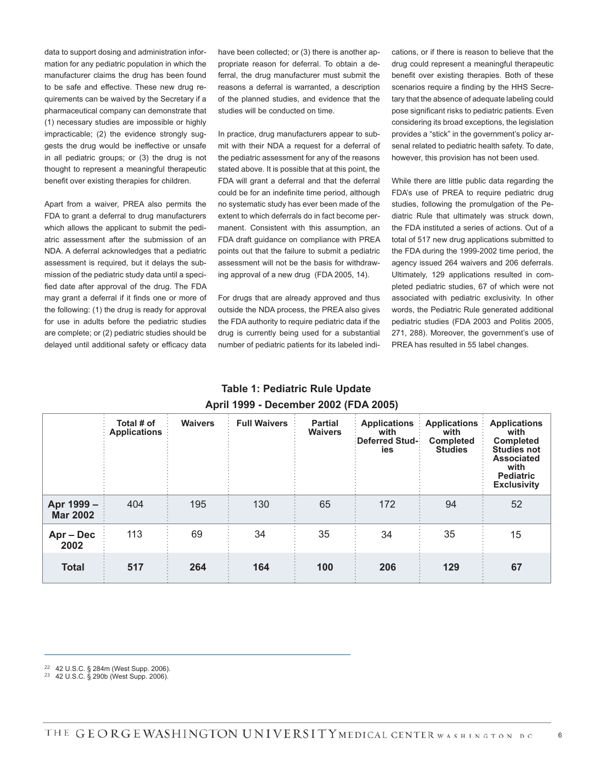data to support dosing and administration information for any pediatric population in which the manufacturer claims the drug has been found to be safe and effective. These new drug requirements can be waived by the Secretary if a pharmaceutical company can demonstrate that (1) necessary studies are impossible or highly impracticable; (2) the evidence strongly suggests the drug would be ineffective or unsafe in all pediatric groups; or (3) the drug is not thought to represent a meaningful therapeutic benefit over existing therapies for children.

Apart from a waiver, PREA also permits the FDA to grant a deferral to drug manufacturers which allows the applicant to submit the pediatric assessment after the submission of an NDA. A deferral acknowledges that a pediatric assessment is required, but it delays the submission of the pediatric study data until a specified date after approval of the drug. The FDA may grant a deferral if it finds one or more of the following: (1) the drug is ready for approval for use in adults before the pediatric studies are complete; or (2) pediatric studies should be delayed until additional safety or efficacy data have been collected; or (3) there is another appropriate reason for deferral. To obtain a deferral, the drug manufacturer must submit the reasons a deferral is warranted, a description of the planned studies, and evidence that the studies will be conducted on time.

In practice, drug manufacturers appear to submit with their NDA a request for a deferral of the pediatric assessment for any of the reasons stated above. It is possible that at this point, the FDA will grant a deferral and that the deferral could be for an indefinite time period, although no systematic study has ever been made of the extent to which deferrals do in fact become permanent. Consistent with this assumption, an FDA draft guidance on compliance with PREA points out that the failure to submit a pediatric assessment will not be the basis for withdrawing approval of a new drug (FDA 2005, 14).

For drugs that are already approved and thus outside the NDA process, the PREA also gives the FDA authority to require pediatric data if the drug is currently being used for a substantial number of pediatric patients for its labeled indications, or if there is reason to believe that the drug could represent a meaningful therapeutic benefit over existing therapies. Both of these scenarios require a finding by the HHS Secretary that the absence of adequate labeling could pose significant risks to pediatric patients. Even considering its broad exceptions, the legislation provides a "stick" in the government's policy arsenal related to pediatric health safety. To date, however, this provision has not been used.

While there are little public data regarding the FDA's use of PREA to require pediatric drug studies, following the promulgation of the Pediatric Rule that ultimately was struck down, the FDA instituted a series of actions. Out of a total of 517 new drug applications submitted to the FDA during the 1999-2002 time period, the agency issued 264 waivers and 206 deferrals. Ultimately, 129 applications resulted in completed pediatric studies, 67 of which were not associated with pediatric exclusivity. In other words, the Pediatric Rule generated additional pediatric studies (FDA 2003 and Politis 2005, 271, 288). Moreover, the government's use of PREA has resulted in 55 label changes.

#### **Table 1: Pediatric Rule Update April 1999 - December 2002 (FDA 2005)**

|                               | Total # of<br><b>Applications</b> | <b>Waivers</b> | <b>Full Waivers</b> | <b>Partial</b><br><b>Waivers</b> | <b>Applications</b><br>with<br>Deferred Stud-<br>ies | <b>Applications</b><br>with<br><b>Completed</b><br><b>Studies</b> | <b>Applications</b><br>with<br><b>Completed</b><br><b>Studies not</b><br><b>Associated</b><br>with<br><b>Pediatric</b><br><b>Exclusivity</b> |
|-------------------------------|-----------------------------------|----------------|---------------------|----------------------------------|------------------------------------------------------|-------------------------------------------------------------------|----------------------------------------------------------------------------------------------------------------------------------------------|
| Apr 1999 –<br><b>Mar 2002</b> | 404                               | 195            | 130                 | 65                               | 172                                                  | 94                                                                | 52                                                                                                                                           |
| Apr – Dec<br>2002             | 113                               | 69             | 34                  | 35                               | 34                                                   | 35                                                                | 15                                                                                                                                           |
| <b>Total</b>                  | 517                               | 264            | 164                 | 100                              | 206                                                  | 129                                                               | 67                                                                                                                                           |

22 42 U.S.C. § 284m (West Supp. 2006).

23 42 U.S.C. § 290b (West Supp. 2006).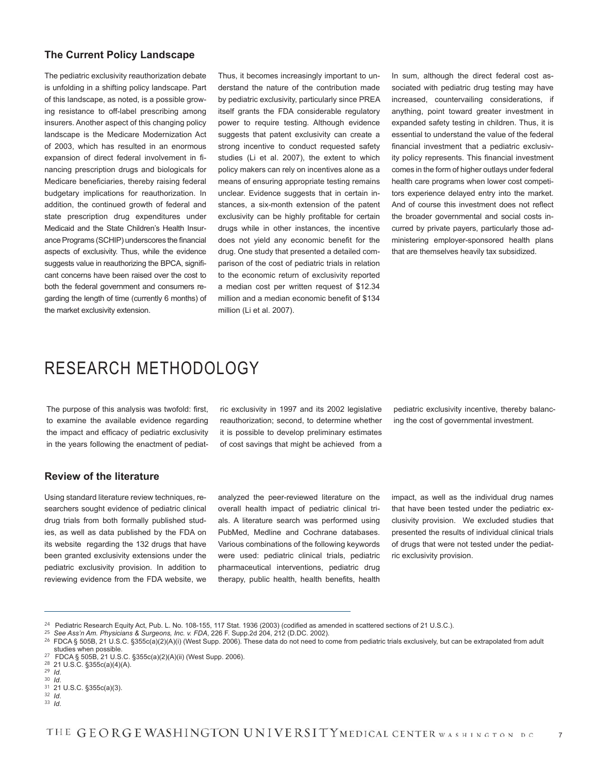#### **The Current Policy Landscape**

The pediatric exclusivity reauthorization debate is unfolding in a shifting policy landscape. Part of this landscape, as noted, is a possible growing resistance to off-label prescribing among insurers. Another aspect of this changing policy landscape is the Medicare Modernization Act of 2003, which has resulted in an enormous expansion of direct federal involvement in financing prescription drugs and biologicals for Medicare beneficiaries, thereby raising federal budgetary implications for reauthorization. In addition, the continued growth of federal and state prescription drug expenditures under Medicaid and the State Children's Health Insurance Programs (SCHIP) underscores the financial aspects of exclusivity. Thus, while the evidence suggests value in reauthorizing the BPCA, significant concerns have been raised over the cost to both the federal government and consumers regarding the length of time (currently 6 months) of the market exclusivity extension.

Thus, it becomes increasingly important to understand the nature of the contribution made by pediatric exclusivity, particularly since PREA itself grants the FDA considerable regulatory power to require testing. Although evidence suggests that patent exclusivity can create a strong incentive to conduct requested safety studies (Li et al. 2007), the extent to which policy makers can rely on incentives alone as a means of ensuring appropriate testing remains unclear. Evidence suggests that in certain instances, a six-month extension of the patent exclusivity can be highly profitable for certain drugs while in other instances, the incentive does not yield any economic benefit for the drug. One study that presented a detailed comparison of the cost of pediatric trials in relation to the economic return of exclusivity reported a median cost per written request of \$12.34 million and a median economic benefit of \$134 million (Li et al. 2007).

In sum, although the direct federal cost associated with pediatric drug testing may have increased, countervailing considerations, if anything, point toward greater investment in expanded safety testing in children. Thus, it is essential to understand the value of the federal financial investment that a pediatric exclusivity policy represents. This financial investment comes in the form of higher outlays under federal health care programs when lower cost competitors experience delayed entry into the market. And of course this investment does not reflect the broader governmental and social costs incurred by private payers, particularly those administering employer-sponsored health plans that are themselves heavily tax subsidized.

## RESEARCH METHODOLOGY

The purpose of this analysis was twofold: first, to examine the available evidence regarding the impact and efficacy of pediatric exclusivity in the years following the enactment of pediat-

ric exclusivity in 1997 and its 2002 legislative reauthorization; second, to determine whether it is possible to develop preliminary estimates of cost savings that might be achieved from a

pediatric exclusivity incentive, thereby balancing the cost of governmental investment.

#### **Review of the literature**

Using standard literature review techniques, researchers sought evidence of pediatric clinical drug trials from both formally published studies, as well as data published by the FDA on its website regarding the 132 drugs that have been granted exclusivity extensions under the pediatric exclusivity provision. In addition to reviewing evidence from the FDA website, we analyzed the peer-reviewed literature on the overall health impact of pediatric clinical trials. A literature search was performed using PubMed, Medline and Cochrane databases. Various combinations of the following keywords were used: pediatric clinical trials, pediatric pharmaceutical interventions, pediatric drug therapy, public health, health benefits, health impact, as well as the individual drug names that have been tested under the pediatric exclusivity provision. We excluded studies that presented the results of individual clinical trials of drugs that were not tested under the pediatric exclusivity provision.

<sup>24</sup> Pediatric Research Equity Act, Pub. L. No. 108-155, 117 Stat. 1936 (2003) (codified as amended in scattered sections of 21 U.S.C.).

<sup>25</sup> *See Ass'n Am. Physicians & Surgeons, Inc. v. FDA*, 226 F. Supp.2d 204, 212 (D.DC. 2002).

<sup>&</sup>lt;sup>26</sup> FDCA § 505B, 21 U.S.C. §355c(a)(2)(A)(i) (West Supp. 2006). These data do not need to come from pediatric trials exclusively, but can be extrapolated from adult studies when possible.

<sup>27</sup> FDCA § 505B, 21 U.S.C. §355c(a)(2)(A)(ii) (West Supp. 2006).

<sup>28</sup> 21 U.S.C. §355c(a)(4)(A).

<sup>29</sup> *Id*.

<sup>30</sup> *Id*.

<sup>31</sup> 21 U.S.C. §355c(a)(3). 32 *Id*.

<sup>33</sup> *Id*.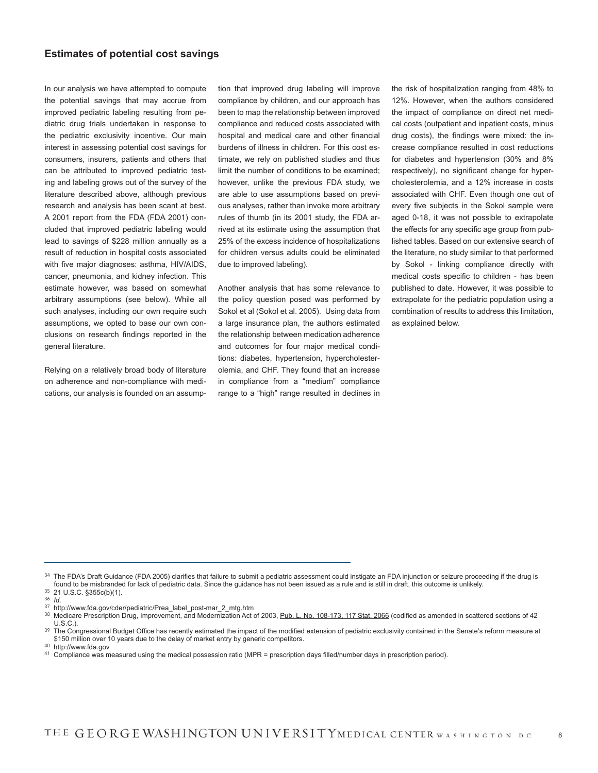#### **Estimates of potential cost savings**

In our analysis we have attempted to compute the potential savings that may accrue from improved pediatric labeling resulting from pediatric drug trials undertaken in response to the pediatric exclusivity incentive. Our main interest in assessing potential cost savings for consumers, insurers, patients and others that can be attributed to improved pediatric testing and labeling grows out of the survey of the literature described above, although previous research and analysis has been scant at best. A 2001 report from the FDA (FDA 2001) concluded that improved pediatric labeling would lead to savings of \$228 million annually as a result of reduction in hospital costs associated with five major diagnoses: asthma, HIV/AIDS, cancer, pneumonia, and kidney infection. This estimate however, was based on somewhat arbitrary assumptions (see below). While all such analyses, including our own require such assumptions, we opted to base our own conclusions on research findings reported in the general literature.

Relying on a relatively broad body of literature on adherence and non-compliance with medications, our analysis is founded on an assumption that improved drug labeling will improve compliance by children, and our approach has been to map the relationship between improved compliance and reduced costs associated with hospital and medical care and other financial burdens of illness in children. For this cost estimate, we rely on published studies and thus limit the number of conditions to be examined; however, unlike the previous FDA study, we are able to use assumptions based on previous analyses, rather than invoke more arbitrary rules of thumb (in its 2001 study, the FDA arrived at its estimate using the assumption that 25% of the excess incidence of hospitalizations for children versus adults could be eliminated due to improved labeling).

Another analysis that has some relevance to the policy question posed was performed by Sokol et al (Sokol et al. 2005). Using data from a large insurance plan, the authors estimated the relationship between medication adherence and outcomes for four major medical conditions: diabetes, hypertension, hypercholesterolemia, and CHF. They found that an increase in compliance from a "medium" compliance range to a "high" range resulted in declines in the risk of hospitalization ranging from 48% to 12%. However, when the authors considered the impact of compliance on direct net medical costs (outpatient and inpatient costs, minus drug costs), the findings were mixed: the increase compliance resulted in cost reductions for diabetes and hypertension (30% and 8% respectively), no significant change for hypercholesterolemia, and a 12% increase in costs associated with CHF. Even though one out of every five subjects in the Sokol sample were aged 0-18, it was not possible to extrapolate the effects for any specific age group from published tables. Based on our extensive search of the literature, no study similar to that performed by Sokol - linking compliance directly with medical costs specific to children - has been published to date. However, it was possible to extrapolate for the pediatric population using a combination of results to address this limitation, as explained below.

<sup>34</sup> The FDA's Draft Guidance (FDA 2005) clarifies that failure to submit a pediatric assessment could instigate an FDA injunction or seizure proceeding if the drug is found to be misbranded for lack of pediatric data. Since the guidance has not been issued as a rule and is still in draft, this outcome is unlikely. 35 21 U.S.C. §355c(b)(1).

<sup>36</sup> *Id*.

<sup>37</sup> http://www.fda.gov/cder/pediatric/Prea\_label\_post-mar\_2\_mtg.htm

<sup>38</sup> Medicare Prescription Drug, Improvement, and Modernization Act of 2003, Pub. L. No. 108-173, 117 Stat. 2066 (codified as amended in scattered sections of 42 U.S.C.).

<sup>&</sup>lt;sup>39</sup> The Congressional Budget Office has recently estimated the impact of the modified extension of pediatric exclusivity contained in the Senate's reform measure at \$150 million over 10 years due to the delay of market entry by generic competitors.

<sup>40</sup> http://www.fda.gov

<sup>41</sup> Compliance was measured using the medical possession ratio (MPR = prescription days filled/number days in prescription period).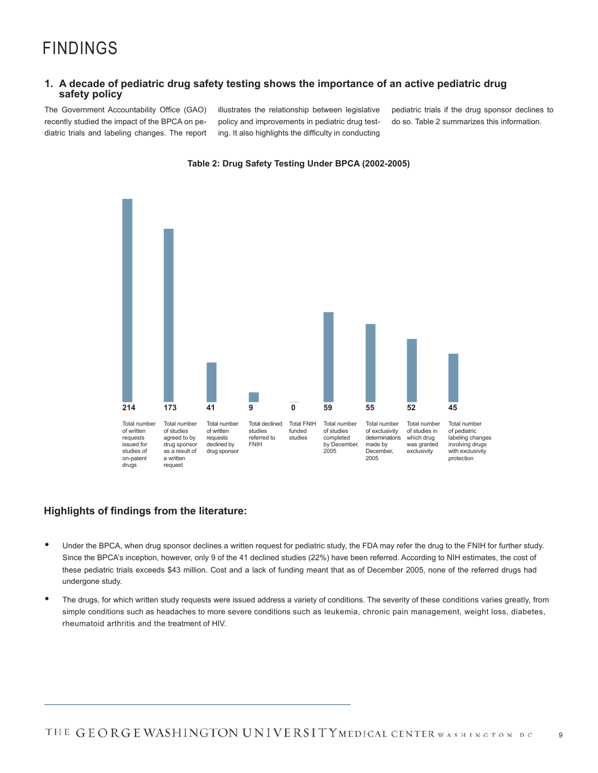#### **1. A decade of pediatric drug safety testing shows the importance of an active pediatric drug safety policy**

The Government Accountability Office (GAO) recently studied the impact of the BPCA on pediatric trials and labeling changes. The report illustrates the relationship between legislative policy and improvements in pediatric drug testing. It also highlights the difficulty in conducting

pediatric trials if the drug sponsor declines to do so. Table 2 summarizes this information.



#### **Table 2: Drug Safety Testing Under BPCA (2002-2005)**

#### **Highlights of findings from the literature:**

- these pediatric trials exceeds \$43 million. Cost and a lack of funding meant that as of December 2005, none of the referred drugs had undergone study. • Under the BPCA, when drug sponsor declines a written request for pediatric study, the FDA may refer the drug to the FNIH for further study. Since the BPCA's inception, however, only 9 of the 41 declined studies (22%) have been referred. According to NIH estimates, the cost of
- The drugs, for which written study requests were issued address a variety of conditions. The severity of these conditions varies greatly, from simple conditions such as headaches to more severe conditions such as leukemia, chronic pain management, weight loss, diabetes, rheumatoid arthritis and the treatment of HIV.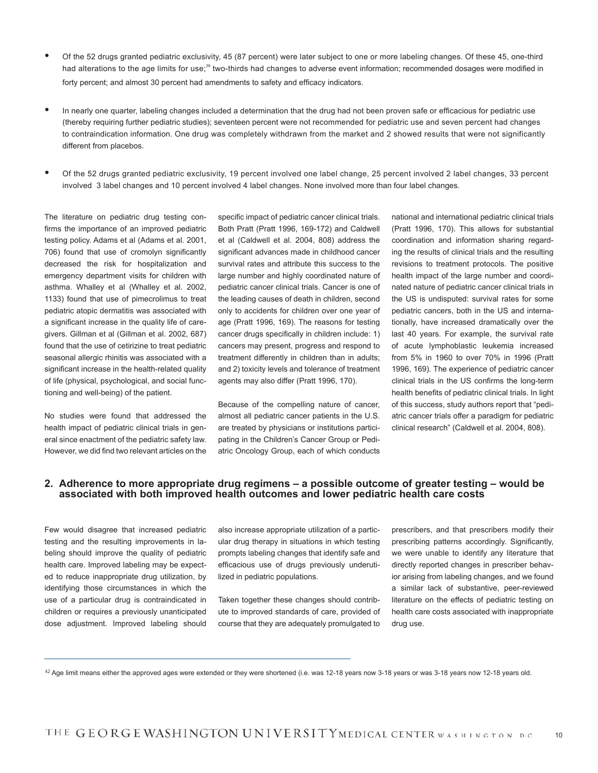- Of the 52 drugs granted pediatric exclusivity, 45 (87 percent) were later subject to one or more labeling changes. Of these 45, one-third had alterations to the age limits for use;<sup>39</sup> two-thirds had changes to adverse event information; recommended dosages were modified in forty percent; and almost 30 percent had amendments to safety and efficacy indicators.
- In nearly one quarter, labeling changes included a determination that the drug had not been proven safe or efficacious for pediatric use (thereby requiring further pediatric studies); seventeen percent were not recommended for pediatric use and seven percent had changes to contraindication information. One drug was completely withdrawn from the market and 2 showed results that were not significantly different from placebos.
- Of the 52 drugs granted pediatric exclusivity, 19 percent involved one label change, 25 percent involved 2 label changes, 33 percent involved 3 label changes and 10 percent involved 4 label changes. None involved more than four label changes.

The literature on pediatric drug testing confirms the importance of an improved pediatric testing policy. Adams et al (Adams et al. 2001, 706) found that use of cromolyn significantly decreased the risk for hospitalization and emergency department visits for children with asthma. Whalley et al (Whalley et al. 2002, 1133) found that use of pimecrolimus to treat pediatric atopic dermatitis was associated with a significant increase in the quality life of caregivers. Gillman et al (Gillman et al. 2002, 687) found that the use of cetirizine to treat pediatric seasonal allergic rhinitis was associated with a significant increase in the health-related quality of life (physical, psychological, and social functioning and well-being) of the patient.

No studies were found that addressed the health impact of pediatric clinical trials in general since enactment of the pediatric safety law. However, we did find two relevant articles on the

specific impact of pediatric cancer clinical trials. Both Pratt (Pratt 1996, 169-172) and Caldwell et al (Caldwell et al. 2004, 808) address the significant advances made in childhood cancer survival rates and attribute this success to the large number and highly coordinated nature of pediatric cancer clinical trials. Cancer is one of the leading causes of death in children, second only to accidents for children over one year of age (Pratt 1996, 169). The reasons for testing cancer drugs specifically in children include: 1) cancers may present, progress and respond to treatment differently in children than in adults; and 2) toxicity levels and tolerance of treatment agents may also differ (Pratt 1996, 170).

Because of the compelling nature of cancer, almost all pediatric cancer patients in the U.S. are treated by physicians or institutions participating in the Children's Cancer Group or Pediatric Oncology Group, each of which conducts

national and international pediatric clinical trials (Pratt 1996, 170). This allows for substantial coordination and information sharing regarding the results of clinical trials and the resulting revisions to treatment protocols. The positive health impact of the large number and coordinated nature of pediatric cancer clinical trials in the US is undisputed: survival rates for some pediatric cancers, both in the US and internationally, have increased dramatically over the last 40 years. For example, the survival rate of acute lymphoblastic leukemia increased from 5% in 1960 to over 70% in 1996 (Pratt 1996, 169). The experience of pediatric cancer clinical trials in the US confirms the long-term health benefits of pediatric clinical trials. In light of this success, study authors report that "pediatric cancer trials offer a paradigm for pediatric clinical research" (Caldwell et al. 2004, 808).

#### **2. Adherence to more appropriate drug regimens – a possible outcome of greater testing – would be associated with both improved health outcomes and lower pediatric health care costs**

Few would disagree that increased pediatric testing and the resulting improvements in labeling should improve the quality of pediatric health care. Improved labeling may be expected to reduce inappropriate drug utilization, by identifying those circumstances in which the use of a particular drug is contraindicated in children or requires a previously unanticipated dose adjustment. Improved labeling should

also increase appropriate utilization of a particular drug therapy in situations in which testing prompts labeling changes that identify safe and efficacious use of drugs previously underutilized in pediatric populations.

Taken together these changes should contribute to improved standards of care, provided of course that they are adequately promulgated to

prescribers, and that prescribers modify their prescribing patterns accordingly. Significantly, we were unable to identify any literature that directly reported changes in prescriber behavior arising from labeling changes, and we found a similar lack of substantive, peer-reviewed literature on the effects of pediatric testing on health care costs associated with inappropriate drug use.

<sup>42</sup> Age limit means either the approved ages were extended or they were shortened (i.e. was 12-18 years now 3-18 years or was 3-18 years now 12-18 years now 12-18 years or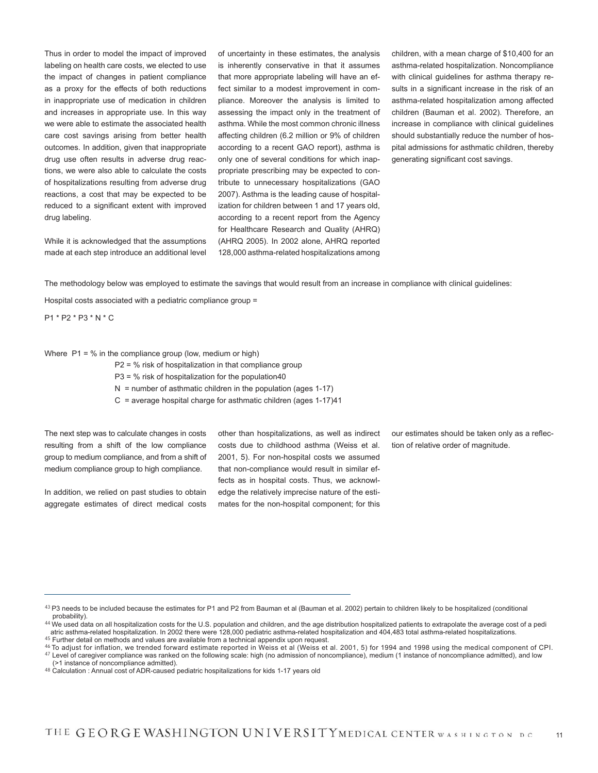Thus in order to model the impact of improved labeling on health care costs, we elected to use the impact of changes in patient compliance as a proxy for the effects of both reductions in inappropriate use of medication in children and increases in appropriate use. In this way we were able to estimate the associated health care cost savings arising from better health outcomes. In addition, given that inappropriate drug use often results in adverse drug reactions, we were also able to calculate the costs of hospitalizations resulting from adverse drug reactions, a cost that may be expected to be reduced to a significant extent with improved drug labeling.

While it is acknowledged that the assumptions made at each step introduce an additional level of uncertainty in these estimates, the analysis is inherently conservative in that it assumes that more appropriate labeling will have an effect similar to a modest improvement in compliance. Moreover the analysis is limited to assessing the impact only in the treatment of asthma. While the most common chronic illness affecting children (6.2 million or 9% of children according to a recent GAO report), asthma is only one of several conditions for which inappropriate prescribing may be expected to contribute to unnecessary hospitalizations (GAO 2007). Asthma is the leading cause of hospitalization for children between 1 and 17 years old, according to a recent report from the Agency for Healthcare Research and Quality (AHRQ) (AHRQ 2005). In 2002 alone, AHRQ reported 128,000 asthma-related hospitalizations among

children, with a mean charge of \$10,400 for an asthma-related hospitalization. Noncompliance with clinical guidelines for asthma therapy results in a significant increase in the risk of an asthma-related hospitalization among affected children (Bauman et al. 2002). Therefore, an increase in compliance with clinical guidelines should substantially reduce the number of hospital admissions for asthmatic children, thereby generating significant cost savings.

The methodology below was employed to estimate the savings that would result from an increase in compliance with clinical guidelines:

Hospital costs associated with a pediatric compliance group =

P1 \* P2 \* P3 \* N \* C

Where  $P1 = %$  in the compliance group (low, medium or high)

P2 = % risk of hospitalization in that compliance group

 $P3 = %$  risk of hospitalization for the population40

 $N =$  number of asthmatic children in the population (ages 1-17)

C = average hospital charge for asthmatic children (ages 1-17)41

The next step was to calculate changes in costs resulting from a shift of the low compliance group to medium compliance, and from a shift of medium compliance group to high compliance.

In addition, we relied on past studies to obtain aggregate estimates of direct medical costs other than hospitalizations, as well as indirect costs due to childhood asthma (Weiss et al. 2001, 5). For non-hospital costs we assumed that non-compliance would result in similar effects as in hospital costs. Thus, we acknowledge the relatively imprecise nature of the estimates for the non-hospital component; for this our estimates should be taken only as a reflection of relative order of magnitude.

<sup>43</sup> P3 needs to be included because the estimates for P1 and P2 from Bauman et al (Bauman et al. 2002) pertain to children likely to be hospitalized (conditional probability).

<sup>44</sup> We used data on all hospitalization costs for the U.S. population and children, and the age distribution hospitalized patients to extrapolate the average cost of a pedi atric asthma-related hospitalization. In 2002 there were 128,000 pediatric asthma-related hospitalization and 404,483 total asthma-related hospitalizations.  $45$  Further detail on methods and values are available from a technical appendix upon request.

<sup>46</sup> To adjust for inflation, we trended forward estimate reported in Weiss et al (Weiss et al. 2001, 5) for 1994 and 1998 using the medical component of CPI.

<sup>47</sup> Level of caregiver compliance was ranked on the following scale: high (no admission of noncompliance), medium (1 instance of noncompliance admitted), and low (>1 instance of noncompliance admitted).

<sup>48</sup> Calculation : Annual cost of ADR-caused pediatric hospitalizations for kids 1-17 years old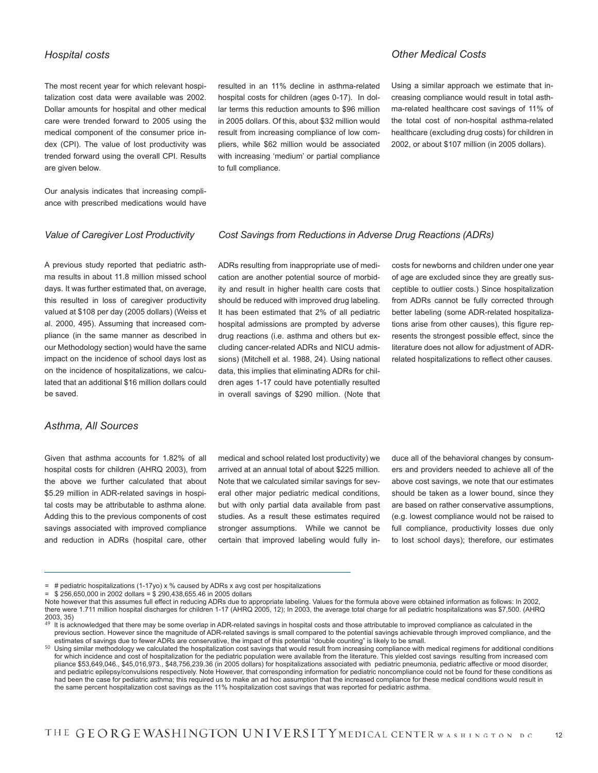#### *Hospital costs*

The most recent year for which relevant hospitalization cost data were available was 2002. Dollar amounts for hospital and other medical care were trended forward to 2005 using the medical component of the consumer price index (CPI). The value of lost productivity was trended forward using the overall CPI. Results are given below.

Our analysis indicates that increasing compliance with prescribed medications would have

#### *Value of Caregiver Lost Productivity*

resulted in an 11% decline in asthma-related hospital costs for children (ages 0-17). In dollar terms this reduction amounts to \$96 million in 2005 dollars. Of this, about \$32 million would result from increasing compliance of low compliers, while \$62 million would be associated with increasing 'medium' or partial compliance to full compliance.

#### *Other Medical Costs*

Using a similar approach we estimate that increasing compliance would result in total asthma-related healthcare cost savings of 11% of the total cost of non-hospital asthma-related healthcare (excluding drug costs) for children in 2002, or about \$107 million (in 2005 dollars).

#### *Cost Savings from Reductions in Adverse Drug Reactions (ADRs)*

A previous study reported that pediatric asthma results in about 11.8 million missed school days. It was further estimated that, on average, this resulted in loss of caregiver productivity valued at \$108 per day (2005 dollars) (Weiss et al. 2000, 495). Assuming that increased compliance (in the same manner as described in our Methodology section) would have the same impact on the incidence of school days lost as on the incidence of hospitalizations, we calculated that an additional \$16 million dollars could be saved.

#### *Asthma, All Sources*

Given that asthma accounts for 1.82% of all hospital costs for children (AHRQ 2003), from the above we further calculated that about \$5.29 million in ADR-related savings in hospital costs may be attributable to asthma alone. Adding this to the previous components of cost savings associated with improved compliance and reduction in ADRs (hospital care, other ADRs resulting from inappropriate use of medication are another potential source of morbidity and result in higher health care costs that should be reduced with improved drug labeling. It has been estimated that 2% of all pediatric hospital admissions are prompted by adverse drug reactions (i.e. asthma and others but excluding cancer-related ADRs and NICU admissions) (Mitchell et al. 1988, 24). Using national data, this implies that eliminating ADRs for children ages 1-17 could have potentially resulted in overall savings of \$290 million. (Note that costs for newborns and children under one year of age are excluded since they are greatly susceptible to outlier costs.) Since hospitalization from ADRs cannot be fully corrected through better labeling (some ADR-related hospitalizations arise from other causes), this figure represents the strongest possible effect, since the literature does not allow for adjustment of ADRrelated hospitalizations to reflect other causes.

medical and school related lost productivity) we arrived at an annual total of about \$225 million. Note that we calculated similar savings for several other major pediatric medical conditions, but with only partial data available from past studies. As a result these estimates required stronger assumptions. While we cannot be certain that improved labeling would fully induce all of the behavioral changes by consumers and providers needed to achieve all of the above cost savings, we note that our estimates should be taken as a lower bound, since they are based on rather conservative assumptions, (e.g. lowest compliance would not be raised to full compliance, productivity losses due only to lost school days); therefore, our estimates

<sup>= #</sup> pediatric hospitalizations (1-17yo) x % caused by ADRs x avg cost per hospitalizations

<sup>= \$ 256,650,000</sup> in 2002 dollars = \$ 290,438,655.46 in 2005 dollars

Note however that this assumes full effect in reducing ADRs due to appropriate labeling. Values for the formula above were obtained information as follows: In 2002, there were 1.711 million hospital discharges for children 1-17 (AHRQ 2005, 12); In 2003, the average total charge for all pediatric hospitalizations was \$7,500. (AHRQ 2003, 35)

 $49$  It is acknowledged that there may be some overlap in ADR-related savings in hospital costs and those attributable to improved compliance as calculated in the previous section. However since the magnitude of ADR-related savings is small compared to the potential savings achievable through improved compliance, and the estimates of savings due to fewer ADRs are conservative, the impact of this potential "double counting" is likely to be small.

<sup>50</sup> Using similar methodology we calculated the hospitalization cost savings that would result from increasing compliance with medical regimens for additional conditions for which incidence and cost of hospitalization for the pediatric population were available from the literature. This yielded cost savings resulting from increased com pliance \$53,649,046., \$45,016,973., \$48,756,239.36 (in 2005 dollars) for hospitalizations associated with pediatric pneumonia, pediatric affective or mood disorder, and pediatric epilepsy/convulsions respectively. Note However, that corresponding information for pediatric noncompliance could not be found for these conditions as had been the case for pediatric asthma; this required us to make an ad hoc assumption that the increased compliance for these medical conditions would result in the same percent hospitalization cost savings as the 11% hospitalization cost savings that was reported for pediatric asthma.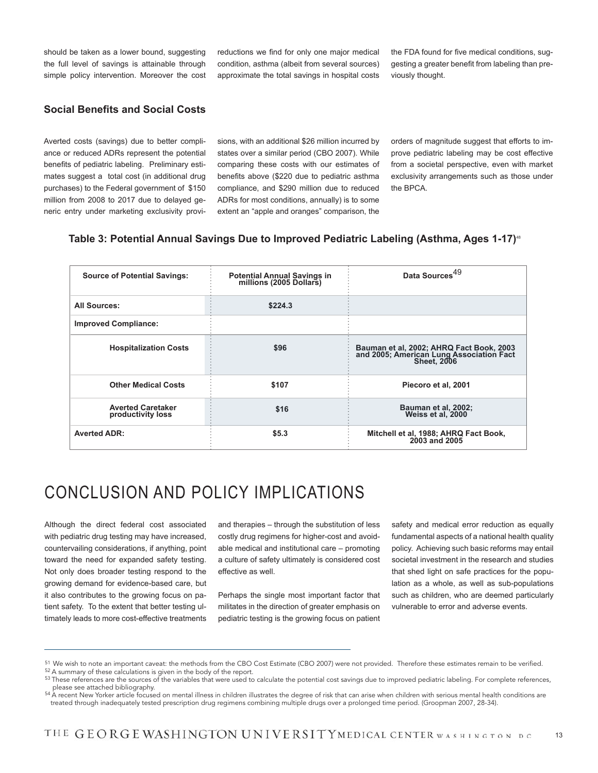should be taken as a lower bound, suggesting the full level of savings is attainable through simple policy intervention. Moreover the cost reductions we find for only one major medical condition, asthma (albeit from several sources) approximate the total savings in hospital costs the FDA found for five medical conditions, suggesting a greater benefit from labeling than previously thought.

#### **Social Benefits and Social Costs**

Averted costs (savings) due to better compliance or reduced ADRs represent the potential benefits of pediatric labeling. Preliminary estimates suggest a total cost (in additional drug purchases) to the Federal government of \$150 million from 2008 to 2017 due to delayed generic entry under marketing exclusivity provisions, with an additional \$26 million incurred by states over a similar period (CBO 2007). While comparing these costs with our estimates of benefits above (\$220 due to pediatric asthma compliance, and \$290 million due to reduced ADRs for most conditions, annually) is to some extent an "apple and oranges" comparison, the

orders of magnitude suggest that efforts to improve pediatric labeling may be cost effective from a societal perspective, even with market exclusivity arrangements such as those under the BPCA.

#### **Table 3: Potential Annual Savings Due to Improved Pediatric Labeling (Asthma, Ages 1-17)**<sup>48</sup>

| <b>Source of Potential Savings:</b>           | Potential Annual Savings in<br>millions (2005 Dollars) | Data Sources <sup>49</sup>                                                                                 |
|-----------------------------------------------|--------------------------------------------------------|------------------------------------------------------------------------------------------------------------|
| <b>All Sources:</b>                           | \$224.3                                                |                                                                                                            |
| <b>Improved Compliance:</b>                   |                                                        |                                                                                                            |
| <b>Hospitalization Costs</b>                  | \$96                                                   | Bauman et al, 2002; AHRQ Fact Book, 2003<br>and 2005; American Lung Association Fact<br><b>Sheet. 2006</b> |
| <b>Other Medical Costs</b>                    | \$107                                                  | Piecoro et al, 2001                                                                                        |
| <b>Averted Caretaker</b><br>productivity loss | \$16                                                   | Bauman et al, 2002;<br>Weiss et al, 2000                                                                   |
| <b>Averted ADR:</b>                           | \$5.3\$                                                | Mitchell et al, 1988; AHRQ Fact Book,<br>2003 and 2005                                                     |

### CONCLUSION AND POLICY IMPLICATIONS

Although the direct federal cost associated with pediatric drug testing may have increased, countervailing considerations, if anything, point toward the need for expanded safety testing. Not only does broader testing respond to the growing demand for evidence-based care, but it also contributes to the growing focus on patient safety. To the extent that better testing ultimately leads to more cost-effective treatments and therapies – through the substitution of less costly drug regimens for higher-cost and avoidable medical and institutional care – promoting a culture of safety ultimately is considered cost effective as well.

Perhaps the single most important factor that militates in the direction of greater emphasis on pediatric testing is the growing focus on patient safety and medical error reduction as equally fundamental aspects of a national health quality policy. Achieving such basic reforms may entail societal investment in the research and studies that shed light on safe practices for the population as a whole, as well as sub-populations such as children, who are deemed particularly vulnerable to error and adverse events.

<sup>51</sup> We wish to note an important caveat: the methods from the CBO Cost Estimate (CBO 2007) were not provided. Therefore these estimates remain to be verified.

<sup>52</sup> A summary of these calculations is given in the body of the report.

<sup>53</sup> These references are the sources of the variables that were used to calculate the potential cost savings due to improved pediatric labeling. For complete references, please see attached bibliography.

<sup>54</sup> A recent New Yorker article focused on mental illness in children illustrates the degree of risk that can arise when children with serious mental health conditions are treated through inadequately tested prescription drug regimens combining multiple drugs over a prolonged time period. (Groopman 2007, 28-34).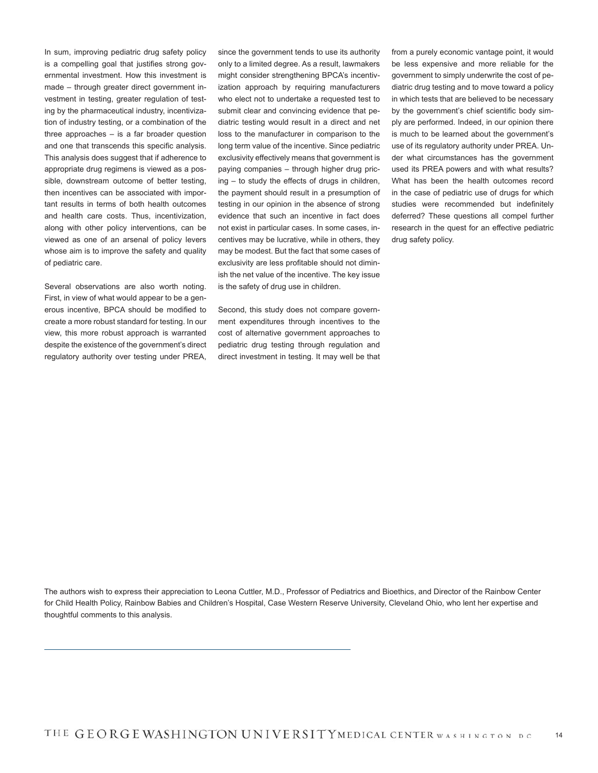In sum, improving pediatric drug safety policy is a compelling goal that justifies strong governmental investment. How this investment is made – through greater direct government investment in testing, greater regulation of testing by the pharmaceutical industry, incentivization of industry testing, or a combination of the three approaches – is a far broader question and one that transcends this specific analysis. This analysis does suggest that if adherence to appropriate drug regimens is viewed as a possible, downstream outcome of better testing, then incentives can be associated with important results in terms of both health outcomes and health care costs. Thus, incentivization, along with other policy interventions, can be viewed as one of an arsenal of policy levers whose aim is to improve the safety and quality of pediatric care.

Several observations are also worth noting. First, in view of what would appear to be a generous incentive, BPCA should be modified to create a more robust standard for testing. In our view, this more robust approach is warranted despite the existence of the government's direct regulatory authority over testing under PREA,

since the government tends to use its authority only to a limited degree. As a result, lawmakers might consider strengthening BPCA's incentivization approach by requiring manufacturers who elect not to undertake a requested test to submit clear and convincing evidence that pediatric testing would result in a direct and net loss to the manufacturer in comparison to the long term value of the incentive. Since pediatric exclusivity effectively means that government is paying companies – through higher drug pricing – to study the effects of drugs in children, the payment should result in a presumption of testing in our opinion in the absence of strong evidence that such an incentive in fact does not exist in particular cases. In some cases, incentives may be lucrative, while in others, they may be modest. But the fact that some cases of exclusivity are less profitable should not diminish the net value of the incentive. The key issue is the safety of drug use in children.

Second, this study does not compare government expenditures through incentives to the cost of alternative government approaches to pediatric drug testing through regulation and direct investment in testing. It may well be that

from a purely economic vantage point, it would be less expensive and more reliable for the government to simply underwrite the cost of pediatric drug testing and to move toward a policy in which tests that are believed to be necessary by the government's chief scientific body simply are performed. Indeed, in our opinion there is much to be learned about the government's use of its regulatory authority under PREA. Under what circumstances has the government used its PREA powers and with what results? What has been the health outcomes record in the case of pediatric use of drugs for which studies were recommended but indefinitely deferred? These questions all compel further research in the quest for an effective pediatric drug safety policy.

The authors wish to express their appreciation to Leona Cuttler, M.D., Professor of Pediatrics and Bioethics, and Director of the Rainbow Center for Child Health Policy, Rainbow Babies and Children's Hospital, Case Western Reserve University, Cleveland Ohio, who lent her expertise and thoughtful comments to this analysis.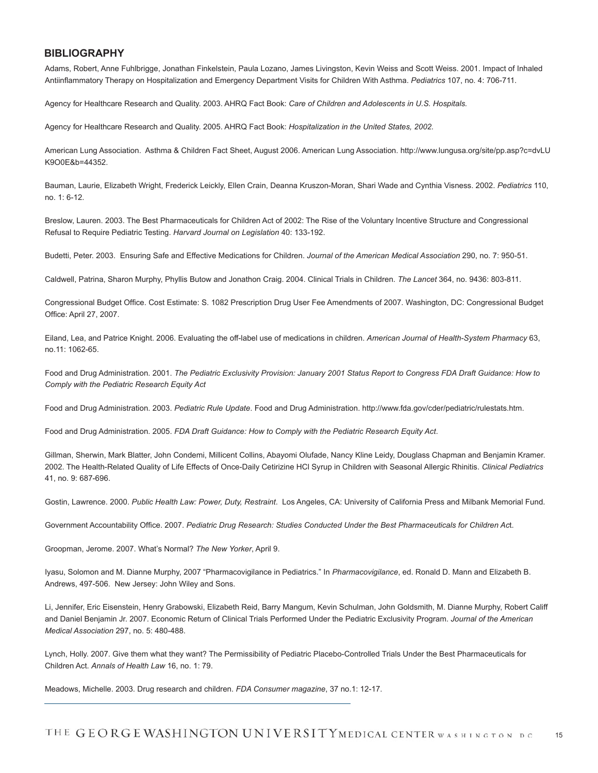#### **BIBLIOGRAPHY**

Adams, Robert, Anne Fuhlbrigge, Jonathan Finkelstein, Paula Lozano, James Livingston, Kevin Weiss and Scott Weiss. 2001. Impact of Inhaled Antiinflammatory Therapy on Hospitalization and Emergency Department Visits for Children With Asthma. *Pediatrics* 107, no. 4: 706-711.

Agency for Healthcare Research and Quality. 2003. AHRQ Fact Book: *Care of Children and Adolescents in U.S. Hospitals.*

Agency for Healthcare Research and Quality. 2005. AHRQ Fact Book: *Hospitalization in the United States, 2002.*

American Lung Association. Asthma & Children Fact Sheet, August 2006. American Lung Association. http://www.lungusa.org/site/pp.asp?c=dvLU K9O0E&b=44352.

Bauman, Laurie, Elizabeth Wright, Frederick Leickly, Ellen Crain, Deanna Kruszon-Moran, Shari Wade and Cynthia Visness. 2002. *Pediatrics* 110, no. 1: 6-12.

Breslow, Lauren. 2003. The Best Pharmaceuticals for Children Act of 2002: The Rise of the Voluntary Incentive Structure and Congressional Refusal to Require Pediatric Testing. *Harvard Journal on Legislation* 40: 133-192.

Budetti, Peter. 2003. Ensuring Safe and Effective Medications for Children. *Journal of the American Medical Association* 290, no. 7: 950-51.

Caldwell, Patrina, Sharon Murphy, Phyllis Butow and Jonathon Craig. 2004. Clinical Trials in Children. *The Lancet* 364, no. 9436: 803-811.

Congressional Budget Office. Cost Estimate: S. 1082 Prescription Drug User Fee Amendments of 2007. Washington, DC: Congressional Budget Office: April 27, 2007.

Eiland, Lea, and Patrice Knight. 2006. Evaluating the off-label use of medications in children. *American Journal of Health-System Pharmacy* 63, no.11: 1062-65.

Food and Drug Administration. 2001. *The Pediatric Exclusivity Provision: January 2001 Status Report to Congress FDA Draft Guidance: How to Comply with the Pediatric Research Equity Act* 

Food and Drug Administration. 2003. *Pediatric Rule Update*. Food and Drug Administration. http://www.fda.gov/cder/pediatric/rulestats.htm.

Food and Drug Administration. 2005. *FDA Draft Guidance: How to Comply with the Pediatric Research Equity Act*.

Gillman, Sherwin, Mark Blatter, John Condemi, Millicent Collins, Abayomi Olufade, Nancy Kline Leidy, Douglass Chapman and Benjamin Kramer. 2002. The Health-Related Quality of Life Effects of Once-Daily Cetirizine HCl Syrup in Children with Seasonal Allergic Rhinitis. *Clinical Pediatrics* 41, no. 9: 687-696.

Gostin, Lawrence. 2000. *Public Health Law: Power, Duty, Restraint*. Los Angeles, CA: University of California Press and Milbank Memorial Fund.

Government Accountability Office. 2007. *Pediatric Drug Research: Studies Conducted Under the Best Pharmaceuticals for Children Ac*t.

Groopman, Jerome. 2007. What's Normal? *The New Yorker*, April 9.

Iyasu, Solomon and M. Dianne Murphy, 2007 "Pharmacovigilance in Pediatrics." In *Pharmacovigilance*, ed. Ronald D. Mann and Elizabeth B. Andrews, 497-506. New Jersey: John Wiley and Sons.

Li, Jennifer, Eric Eisenstein, Henry Grabowski, Elizabeth Reid, Barry Mangum, Kevin Schulman, John Goldsmith, M. Dianne Murphy, Robert Califf and Daniel Benjamin Jr. 2007. Economic Return of Clinical Trials Performed Under the Pediatric Exclusivity Program. *Journal of the American Medical Association* 297, no. 5: 480-488.

Lynch, Holly. 2007. Give them what they want? The Permissibility of Pediatric Placebo-Controlled Trials Under the Best Pharmaceuticals for Children Act. *Annals of Health Law* 16, no. 1: 79.

Meadows, Michelle. 2003. Drug research and children. *FDA Consumer magazine*, 37 no.1: 12-17.